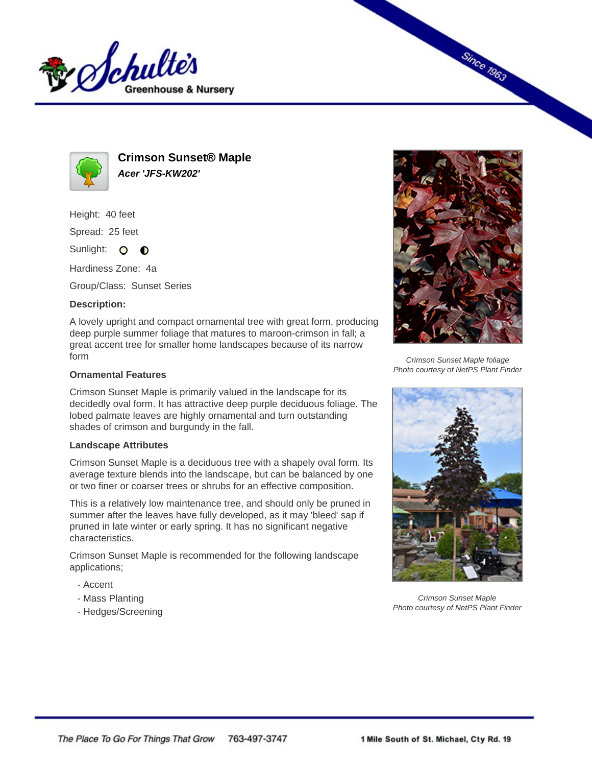



**Crimson Sunset® Maple Acer 'JFS-KW202'**

Height: 40 feet

Spread: 25 feet

Sunlight: O **O** 

Hardiness Zone: 4a

Group/Class: Sunset Series

## **Description:**

A lovely upright and compact ornamental tree with great form, producing deep purple summer foliage that matures to maroon-crimson in fall; a great accent tree for smaller home landscapes because of its narrow form

## **Ornamental Features**

Crimson Sunset Maple is primarily valued in the landscape for its decidedly oval form. It has attractive deep purple deciduous foliage. The lobed palmate leaves are highly ornamental and turn outstanding shades of crimson and burgundy in the fall.

## **Landscape Attributes**

Crimson Sunset Maple is a deciduous tree with a shapely oval form. Its average texture blends into the landscape, but can be balanced by one or two finer or coarser trees or shrubs for an effective composition.

This is a relatively low maintenance tree, and should only be pruned in summer after the leaves have fully developed, as it may 'bleed' sap if pruned in late winter or early spring. It has no significant negative characteristics.

Crimson Sunset Maple is recommended for the following landscape applications;

- Accent
- Mass Planting
- Hedges/Screening



**Since 1963** 

Crimson Sunset Maple foliage Photo courtesy of NetPS Plant Finder



Crimson Sunset Maple Photo courtesy of NetPS Plant Finder